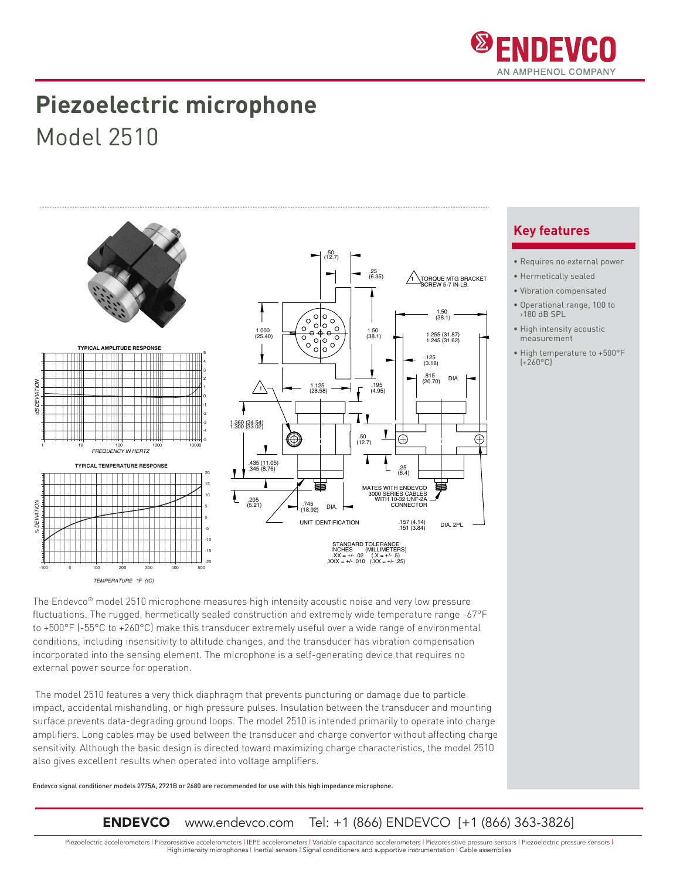

## **Piezoelectric microphone** Model 2510



The Endevco® model 2510 microphone measures high intensity acoustic noise and very low pressure fluctuations. The rugged, hermetically sealed construction and extremely wide temperature range -67°F to +500°F (-55°C to +260°C) make this transducer extremely useful over a wide range of environmental conditions, including insensitivity to altitude changes, and the transducer has vibration compensation incorporated into the sensing element. The microphone is a self-generating device that requires no external power source for operation.

The model 2510 features a very thick diaphragm that prevents puncturing or damage due to particle impact, accidental mishandling, or high pressure pulses. Insulation between the transducer and mounting surface prevents data-degrading ground loops. The model 2510 is intended primarily to operate into charge amplifiers. Long cables may be used between the transducer and charge convertor without affecting charge sensitivity. Although the basic design is directed toward maximizing charge characteristics, the model 2510 also gives excellent results when operated into voltage amplifiers.

Endevco signal conditioner models 2775A, 2721B or 2680 are recommended for use with this high impedance microphone.

**ENDEVCO** www.endevco.com Tel: +1 (866) ENDEVCO [+1 (866) 363-3826]

**Key features**

- Requires no external power
- Hermetically sealed
- Vibration compensated
- Operational range, 100 to  $>180$  dB SPL
- High intensity acoustic measurement
- High temperature to +500°F (+260°C)

Piezoelectric accelerometers | Piezoresistive accelerometers | IEPE accelerometers | Variable capacitance accelerometers | Piezoresistive pressure sensors | Piezoelectric pressure sensors | High intensity microphones | Inertial sensors | Signal conditioners and supportive instrumentation | Cable assemblies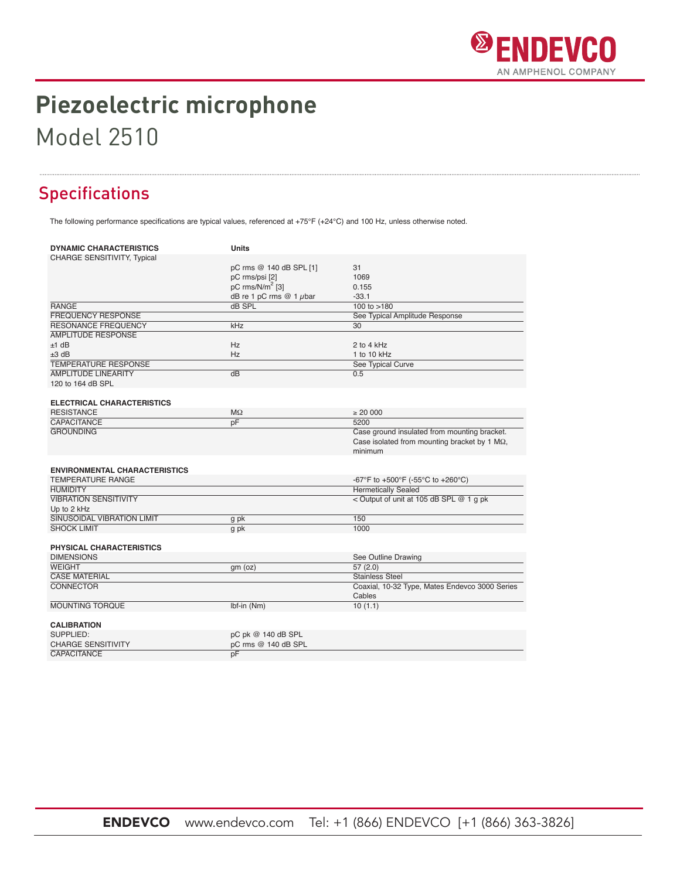

# Piezoelectric microphone

### **Model 2510**

### **Specifications**

The following performance specifications are typical values, referenced at +75°F (+24°C) and 100 Hz, unless otherwise noted.

| <b>CHARGE SENSITIVITY, Typical</b><br>pC rms @ 140 dB SPL [1]<br>31<br>pC rms/psi [2]<br>1069<br>pC rms/N/m <sup>2</sup> [3]<br>0.155<br>dB re 1 pC rms $@ 1$ $\mu$ bar<br>$-33.1$<br><b>RANGE</b><br>dB SPL<br>100 to $>180$<br><b>FREQUENCY RESPONSE</b><br>See Typical Amplitude Response<br><b>RESONANCE FREQUENCY</b><br>kHz<br>30<br><b>AMPLITUDE RESPONSE</b><br>Hz<br>$±1$ dB<br>2 to 4 kHz | <b>DYNAMIC CHARACTERISTICS</b> | Units |  |
|-----------------------------------------------------------------------------------------------------------------------------------------------------------------------------------------------------------------------------------------------------------------------------------------------------------------------------------------------------------------------------------------------------|--------------------------------|-------|--|
|                                                                                                                                                                                                                                                                                                                                                                                                     |                                |       |  |
|                                                                                                                                                                                                                                                                                                                                                                                                     |                                |       |  |
|                                                                                                                                                                                                                                                                                                                                                                                                     |                                |       |  |
|                                                                                                                                                                                                                                                                                                                                                                                                     |                                |       |  |
|                                                                                                                                                                                                                                                                                                                                                                                                     |                                |       |  |
|                                                                                                                                                                                                                                                                                                                                                                                                     |                                |       |  |
|                                                                                                                                                                                                                                                                                                                                                                                                     |                                |       |  |
|                                                                                                                                                                                                                                                                                                                                                                                                     |                                |       |  |
|                                                                                                                                                                                                                                                                                                                                                                                                     |                                |       |  |
|                                                                                                                                                                                                                                                                                                                                                                                                     |                                |       |  |
| $±3$ dB<br>Hz<br>1 to 10 kHz                                                                                                                                                                                                                                                                                                                                                                        |                                |       |  |
| <b>TEMPERATURE RESPONSE</b><br>See Typical Curve                                                                                                                                                                                                                                                                                                                                                    |                                |       |  |
| <b>AMPLITUDE LINEARITY</b><br>$\overline{dB}$<br>0.5                                                                                                                                                                                                                                                                                                                                                |                                |       |  |
| 120 to 164 dB SPL                                                                                                                                                                                                                                                                                                                                                                                   |                                |       |  |
| <b>ELECTRICAL CHARACTERISTICS</b>                                                                                                                                                                                                                                                                                                                                                                   |                                |       |  |
| <b>RESISTANCE</b><br>$M\Omega$<br>$\geq 20000$                                                                                                                                                                                                                                                                                                                                                      |                                |       |  |
| pF<br>CAPACITANCE<br>5200                                                                                                                                                                                                                                                                                                                                                                           |                                |       |  |
| Case ground insulated from mounting bracket.<br><b>GROUNDING</b>                                                                                                                                                                                                                                                                                                                                    |                                |       |  |
| Case isolated from mounting bracket by 1 $M\Omega$ ,                                                                                                                                                                                                                                                                                                                                                |                                |       |  |
| minimum                                                                                                                                                                                                                                                                                                                                                                                             |                                |       |  |
|                                                                                                                                                                                                                                                                                                                                                                                                     |                                |       |  |
| <b>ENVIRONMENTAL CHARACTERISTICS</b>                                                                                                                                                                                                                                                                                                                                                                |                                |       |  |
| <b>TEMPERATURE RANGE</b><br>-67°F to +500°F (-55°C to +260°C)                                                                                                                                                                                                                                                                                                                                       |                                |       |  |
| <b>Hermetically Sealed</b><br><b>HUMIDITY</b>                                                                                                                                                                                                                                                                                                                                                       |                                |       |  |
| <b>VIBRATION SENSITIVITY</b><br>< Output of unit at 105 dB SPL @ 1 g pk                                                                                                                                                                                                                                                                                                                             |                                |       |  |
| Up to 2 kHz                                                                                                                                                                                                                                                                                                                                                                                         |                                |       |  |
| <b>SINUSOIDAL VIBRATION LIMIT</b><br>150<br>g pk                                                                                                                                                                                                                                                                                                                                                    |                                |       |  |
| <b>SHOCK LIMIT</b><br>1000<br>g pk                                                                                                                                                                                                                                                                                                                                                                  |                                |       |  |
|                                                                                                                                                                                                                                                                                                                                                                                                     |                                |       |  |
| PHYSICAL CHARACTERISTICS                                                                                                                                                                                                                                                                                                                                                                            |                                |       |  |
| <b>DIMENSIONS</b><br>See Outline Drawing                                                                                                                                                                                                                                                                                                                                                            |                                |       |  |
| <b>WEIGHT</b><br>57(2.0)<br>gm (oz)                                                                                                                                                                                                                                                                                                                                                                 |                                |       |  |
| <b>CASE MATERIAL</b><br><b>Stainless Steel</b>                                                                                                                                                                                                                                                                                                                                                      |                                |       |  |
| <b>CONNECTOR</b><br>Coaxial, 10-32 Type, Mates Endevco 3000 Series                                                                                                                                                                                                                                                                                                                                  |                                |       |  |
| Cables                                                                                                                                                                                                                                                                                                                                                                                              |                                |       |  |
| <b>MOUNTING TORQUE</b><br>Ibf-in (Nm)<br>10(1.1)                                                                                                                                                                                                                                                                                                                                                    |                                |       |  |
| <b>CALIBRATION</b>                                                                                                                                                                                                                                                                                                                                                                                  |                                |       |  |
| SUPPLIED:<br>pC pk @ 140 dB SPL                                                                                                                                                                                                                                                                                                                                                                     |                                |       |  |
| pC rms @ 140 dB SPL<br><b>CHARGE SENSITIVITY</b>                                                                                                                                                                                                                                                                                                                                                    |                                |       |  |
| <b>CAPACITANCE</b><br>pF                                                                                                                                                                                                                                                                                                                                                                            |                                |       |  |

Tel: +1 (866) ENDEVCO [+1 (866) 363-3826] **ENDEVCO** www.endevco.com